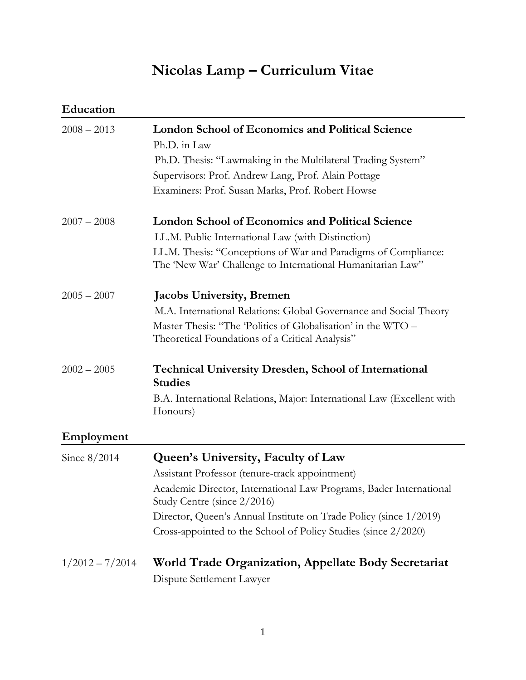# **Nicolas Lamp – Curriculum Vitae**

| Education         |                                                                                                                              |
|-------------------|------------------------------------------------------------------------------------------------------------------------------|
| $2008 - 2013$     | <b>London School of Economics and Political Science</b>                                                                      |
|                   | Ph.D. in Law                                                                                                                 |
|                   | Ph.D. Thesis: "Lawmaking in the Multilateral Trading System"                                                                 |
|                   | Supervisors: Prof. Andrew Lang, Prof. Alain Pottage                                                                          |
|                   | Examiners: Prof. Susan Marks, Prof. Robert Howse                                                                             |
| $2007 - 2008$     | <b>London School of Economics and Political Science</b>                                                                      |
|                   | LL.M. Public International Law (with Distinction)                                                                            |
|                   | LL.M. Thesis: "Conceptions of War and Paradigms of Compliance:<br>The 'New War' Challenge to International Humanitarian Law" |
| $2005 - 2007$     | <b>Jacobs University, Bremen</b>                                                                                             |
|                   | M.A. International Relations: Global Governance and Social Theory                                                            |
|                   | Master Thesis: "The Politics of Globalisation' in the WTO -                                                                  |
|                   | Theoretical Foundations of a Critical Analysis"                                                                              |
| $2002 - 2005$     | <b>Technical University Dresden, School of International</b><br><b>Studies</b>                                               |
|                   | B.A. International Relations, Major: International Law (Excellent with<br>Honours)                                           |
| Employment        |                                                                                                                              |
| Since $8/2014$    | Queen's University, Faculty of Law                                                                                           |
|                   | Assistant Professor (tenure-track appointment)                                                                               |
|                   | Academic Director, International Law Programs, Bader International<br>Study Centre (since 2/2016)                            |
|                   | Director, Queen's Annual Institute on Trade Policy (since 1/2019)                                                            |
|                   | Cross-appointed to the School of Policy Studies (since 2/2020)                                                               |
| $1/2012 - 7/2014$ | World Trade Organization, Appellate Body Secretariat                                                                         |

Dispute Settlement Lawyer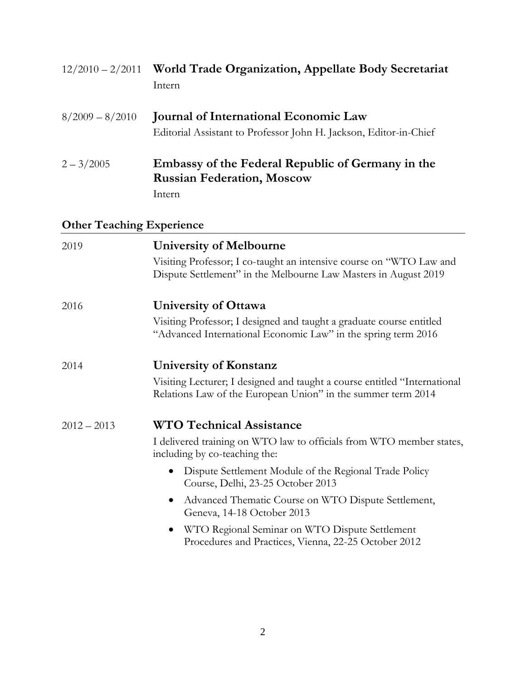| $12/2010 - 2/2011$               | <b>World Trade Organization, Appellate Body Secretariat</b><br>Intern                                                                                                                              |
|----------------------------------|----------------------------------------------------------------------------------------------------------------------------------------------------------------------------------------------------|
| $8/2009 - 8/2010$                | <b>Journal of International Economic Law</b><br>Editorial Assistant to Professor John H. Jackson, Editor-in-Chief                                                                                  |
| $2 - 3/2005$                     | Embassy of the Federal Republic of Germany in the<br><b>Russian Federation, Moscow</b><br>Intern                                                                                                   |
| <b>Other Teaching Experience</b> |                                                                                                                                                                                                    |
| 2019                             | <b>University of Melbourne</b><br>Visiting Professor; I co-taught an intensive course on "WTO Law and<br>Dispute Settlement" in the Melbourne Law Masters in August 2019                           |
| 2016                             | <b>University of Ottawa</b><br>Visiting Professor; I designed and taught a graduate course entitled<br>"Advanced International Economic Law" in the spring term 2016                               |
| 2014                             | <b>University of Konstanz</b><br>Visiting Lecturer; I designed and taught a course entitled "International<br>Relations Law of the European Union" in the summer term 2014                         |
| $2012 - 2013$                    | <b>WTO Technical Assistance</b><br>I delivered training on WTO law to officials from WTO member states,<br>including by co-teaching the:<br>Dispute Settlement Module of the Regional Trade Policy |
|                                  | Course, Delhi, 23-25 October 2013<br>Advanced Thematic Course on WTO Dispute Settlement,<br>Geneva, 14-18 October 2013                                                                             |

 WTO Regional Seminar on WTO Dispute Settlement Procedures and Practices, Vienna, 22-25 October 2012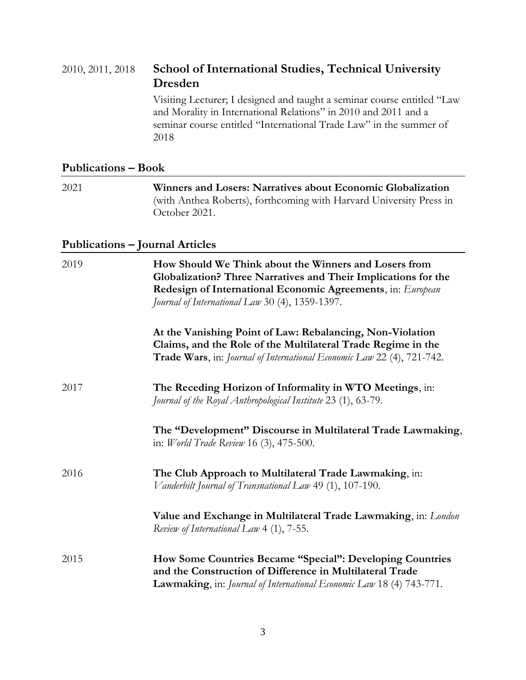## 2010, 2011, 2018 **School of International Studies, Technical University Dresden**

Visiting Lecturer; I designed and taught a seminar course entitled "Law and Morality in International Relations" in 2010 and 2011 and a seminar course entitled "International Trade Law" in the summer of 2018

### **Publications – Book**

| 2021 | Winners and Losers: Narratives about Economic Globalization<br>(with Anthea Roberts), forthcoming with Harvard University Press in<br>October 2021.                                                                                       |
|------|-------------------------------------------------------------------------------------------------------------------------------------------------------------------------------------------------------------------------------------------|
|      | <b>Publications - Journal Articles</b>                                                                                                                                                                                                    |
| 2019 | How Should We Think about the Winners and Losers from<br>Globalization? Three Narratives and Their Implications for the<br>Redesign of International Economic Agreements, in: European<br>Journal of International Law 30 (4), 1359-1397. |
|      | At the Vanishing Point of Law: Rebalancing, Non-Violation<br>Claims, and the Role of the Multilateral Trade Regime in the<br>Trade Wars, in: Journal of International Economic Law 22 (4), 721-742.                                       |
| 2017 | The Receding Horizon of Informality in WTO Meetings, in:<br>Journal of the Royal Anthropological Institute 23 (1), 63-79.                                                                                                                 |
|      | The "Development" Discourse in Multilateral Trade Lawmaking,<br>in: <i>World Trade Review</i> 16 (3), 475-500.                                                                                                                            |
| 2016 | The Club Approach to Multilateral Trade Lawmaking, in:<br>Vanderbilt Journal of Transnational Law 49 (1), 107-190.                                                                                                                        |
|      | Value and Exchange in Multilateral Trade Lawmaking, in: London<br>Review of International Law 4 (1), 7-55.                                                                                                                                |
| 2015 | How Some Countries Became "Special": Developing Countries<br>and the Construction of Difference in Multilateral Trade                                                                                                                     |

**Lawmaking**, in: *Journal of International Economic Law* 18 (4) 743-771.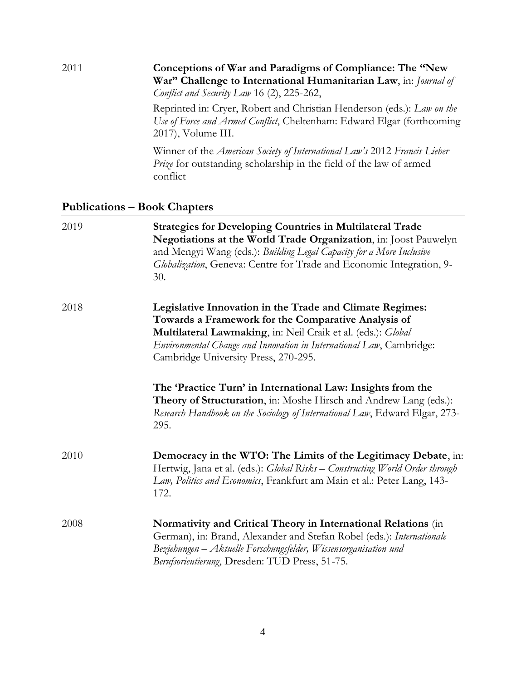### 2011 **Conceptions of War and Paradigms of Compliance: The "New War" Challenge to International Humanitarian Law**, in: *Journal of Conflict and Security Law* 16 (2), 225-262,

Reprinted in: Cryer, Robert and Christian Henderson (eds.): *Law on the Use of Force and Armed Conflict*, Cheltenham: Edward Elgar (forthcoming 2017), Volume III.

Winner of the *American Society of International Law's* 2012 *Francis Lieber Prize* for outstanding scholarship in the field of the law of armed conflict

#### **Publications – Book Chapters**

| 2019 | <b>Strategies for Developing Countries in Multilateral Trade</b><br>Negotiations at the World Trade Organization, in: Joost Pauwelyn<br>and Mengyi Wang (eds.): Building Legal Capacity for a More Inclusive<br>Globalization, Geneva: Centre for Trade and Economic Integration, 9-<br>30.     |
|------|-------------------------------------------------------------------------------------------------------------------------------------------------------------------------------------------------------------------------------------------------------------------------------------------------|
| 2018 | Legislative Innovation in the Trade and Climate Regimes:<br>Towards a Framework for the Comparative Analysis of<br>Multilateral Lawmaking, in: Neil Craik et al. (eds.): Global<br>Environmental Change and Innovation in International Law, Cambridge:<br>Cambridge University Press, 270-295. |
|      | The 'Practice Turn' in International Law: Insights from the<br>Theory of Structuration, in: Moshe Hirsch and Andrew Lang (eds.):<br>Research Handbook on the Sociology of International Law, Edward Elgar, 273-<br>295.                                                                         |
| 2010 | Democracy in the WTO: The Limits of the Legitimacy Debate, in:<br>Hertwig, Jana et al. (eds.): Global Risks - Constructing World Order through<br>Law, Politics and Economics, Frankfurt am Main et al.: Peter Lang, 143-<br>172.                                                               |
| 2008 | Normativity and Critical Theory in International Relations (in<br>German), in: Brand, Alexander and Stefan Robel (eds.): Internationale<br>Beziehungen – Aktuelle Forschungsfelder, Wissensorganisation und<br>Berufsorientierung, Dresden: TUD Press, 51-75.                                   |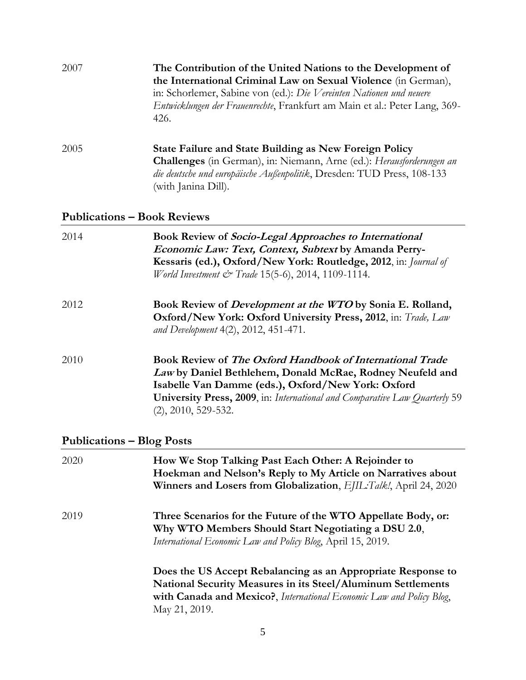| 2007                               | The Contribution of the United Nations to the Development of<br>the International Criminal Law on Sexual Violence (in German),<br>in: Schorlemer, Sabine von (ed.): Die Vereinten Nationen und neuere<br>Entwicklungen der Frauenrechte, Frankfurt am Main et al.: Peter Lang, 369-<br>426. |  |
|------------------------------------|---------------------------------------------------------------------------------------------------------------------------------------------------------------------------------------------------------------------------------------------------------------------------------------------|--|
| 2005                               | <b>State Failure and State Building as New Foreign Policy</b><br>Challenges (in German), in: Niemann, Arne (ed.): Herausforderungen an<br>die deutsche und europäische Außenpolitik, Dresden: TUD Press, 108-133<br>(with Janina Dill).                                                     |  |
| <b>Publications - Book Reviews</b> |                                                                                                                                                                                                                                                                                             |  |
| 2014                               | <b>Book Review of Socio-Legal Approaches to International</b><br>Economic Law: Text, Context, Subtext by Amanda Perry-<br>Kessaris (ed.), Oxford/New York: Routledge, 2012, in: <i>Journal of</i><br>World Investment & Trade 15(5-6), 2014, 1109-1114.                                     |  |
| 2012                               | Book Review of Development at the WTO by Sonia E. Rolland,<br>Oxford/New York: Oxford University Press, 2012, in: Trade, Law<br>and Development 4(2), 2012, 451-471.                                                                                                                        |  |
| 2010                               | Book Review of The Oxford Handbook of International Trade<br>Law by Daniel Bethlehem, Donald McRae, Rodney Neufeld and<br>Isabelle Van Damme (eds.), Oxford/New York: Oxford<br>University Press, 2009, in: International and Comparative Law Quarterly 59                                  |  |

# **Publications – Blog Posts**

(2), 2010, 529-532.

| 2020 | How We Stop Talking Past Each Other: A Rejoinder to<br>Hoekman and Nelson's Reply to My Article on Narratives about<br>Winners and Losers from Globalization, EJIL: Talk!, April 24, 2020                                    |
|------|------------------------------------------------------------------------------------------------------------------------------------------------------------------------------------------------------------------------------|
| 2019 | Three Scenarios for the Future of the WTO Appellate Body, or:<br>Why WTO Members Should Start Negotiating a DSU 2.0,<br>International Economic Law and Policy Blog, April 15, 2019.                                          |
|      | Does the US Accept Rebalancing as an Appropriate Response to<br><b>National Security Measures in its Steel/Aluminum Settlements</b><br>with Canada and Mexico?, International Economic Law and Policy Blog,<br>May 21, 2019. |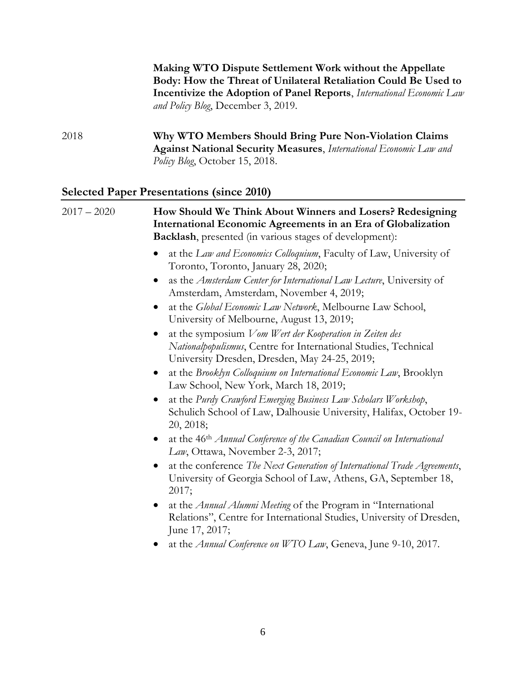**Making WTO Dispute Settlement Work without the Appellate Body: How the Threat of Unilateral Retaliation Could Be Used to Incentivize the Adoption of Panel Reports**, *International Economic Law and Policy Blog*, December 3, 2019.

2018 **Why WTO Members Should Bring Pure Non-Violation Claims Against National Security Measures**, *International Economic Law and Policy Blog*, October 15, 2018.

### **Selected Paper Presentations (since 2010)**

| $2017 - 2020$ | How Should We Think About Winners and Losers? Redesigning<br>International Economic Agreements in an Era of Globalization<br>Backlash, presented (in various stages of development):     |
|---------------|------------------------------------------------------------------------------------------------------------------------------------------------------------------------------------------|
|               | at the Law and Economics Colloquium, Faculty of Law, University of<br>Toronto, Toronto, January 28, 2020;                                                                                |
|               | as the Amsterdam Center for International Law Lecture, University of<br>$\bullet$<br>Amsterdam, Amsterdam, November 4, 2019;                                                             |
|               | at the Global Economic Law Network, Melbourne Law School,<br>$\bullet$<br>University of Melbourne, August 13, 2019;                                                                      |
|               | at the symposium Vom Wert der Kooperation in Zeiten des<br>$\bullet$<br>Nationalpopulismus, Centre for International Studies, Technical<br>University Dresden, Dresden, May 24-25, 2019; |
|               | at the Brooklyn Colloquium on International Economic Law, Brooklyn<br>$\bullet$<br>Law School, New York, March 18, 2019;                                                                 |
|               | at the Purdy Crawford Emerging Business Law Scholars Workshop,<br>Schulich School of Law, Dalhousie University, Halifax, October 19-<br>20, 2018;                                        |
|               | at the 46 <sup>th</sup> Annual Conference of the Canadian Council on International<br>$\bullet$<br>Law, Ottawa, November 2-3, 2017;                                                      |
|               | at the conference The Next Generation of International Trade Agreements,<br>$\bullet$<br>University of Georgia School of Law, Athens, GA, September 18,<br>2017;                         |
|               | at the Annual Alumni Meeting of the Program in "International<br>$\bullet$<br>Relations", Centre for International Studies, University of Dresden,<br>June 17, 2017;                     |
|               | at the Annual Conference on WTO Law, Geneva, June 9-10, 2017.                                                                                                                            |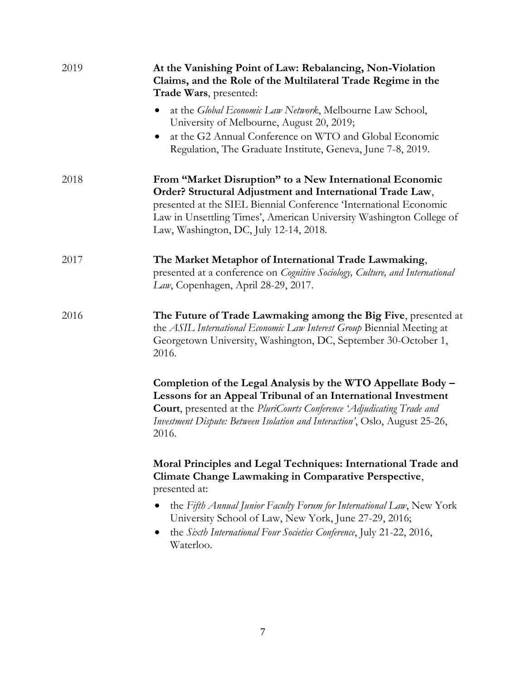| 2019 | At the Vanishing Point of Law: Rebalancing, Non-Violation<br>Claims, and the Role of the Multilateral Trade Regime in the<br>Trade Wars, presented:                                                                                                                                                         |
|------|-------------------------------------------------------------------------------------------------------------------------------------------------------------------------------------------------------------------------------------------------------------------------------------------------------------|
|      | at the <i>Global Economic Law Network</i> , Melbourne Law School,<br>University of Melbourne, August 20, 2019;                                                                                                                                                                                              |
|      | at the G2 Annual Conference on WTO and Global Economic<br>Regulation, The Graduate Institute, Geneva, June 7-8, 2019.                                                                                                                                                                                       |
| 2018 | From "Market Disruption" to a New International Economic<br>Order? Structural Adjustment and International Trade Law,<br>presented at the SIEL Biennial Conference 'International Economic<br>Law in Unsettling Times', American University Washington College of<br>Law, Washington, DC, July 12-14, 2018. |
| 2017 | The Market Metaphor of International Trade Lawmaking,<br>presented at a conference on Cognitive Sociology, Culture, and International<br>Law, Copenhagen, April 28-29, 2017.                                                                                                                                |
| 2016 | The Future of Trade Lawmaking among the Big Five, presented at<br>the ASIL International Economic Law Interest Group Biennial Meeting at<br>Georgetown University, Washington, DC, September 30-October 1,<br>2016.                                                                                         |
|      | Completion of the Legal Analysis by the WTO Appellate Body -<br>Lessons for an Appeal Tribunal of an International Investment<br><b>Court</b> , presented at the PluriCourts Conference 'Adjudicating Trade and<br>Investment Dispute: Between Isolation and Interaction', Oslo, August 25-26,<br>2016.     |
|      | Moral Principles and Legal Techniques: International Trade and<br>Climate Change Lawmaking in Comparative Perspective,<br>presented at:                                                                                                                                                                     |
|      | the Fifth Annual Junior Faculty Forum for International Law, New York<br>University School of Law, New York, June 27-29, 2016;                                                                                                                                                                              |
|      | the Sixth International Four Societies Conference, July 21-22, 2016,<br>Waterloo.                                                                                                                                                                                                                           |
|      |                                                                                                                                                                                                                                                                                                             |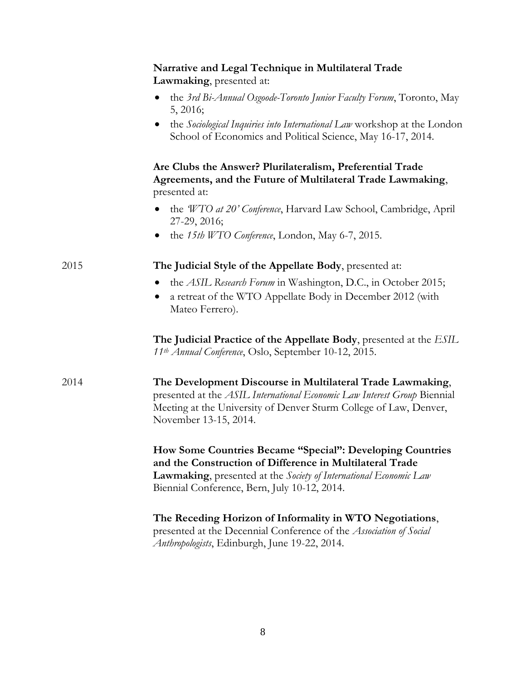|      | Narrative and Legal Technique in Multilateral Trade<br>Lawmaking, presented at:                                                                                                                                                            |
|------|--------------------------------------------------------------------------------------------------------------------------------------------------------------------------------------------------------------------------------------------|
|      | • the 3rd Bi-Annual Osgoode-Toronto Junior Faculty Forum, Toronto, May<br>5, 2016;                                                                                                                                                         |
|      | the Sociological Inquiries into International Law workshop at the London<br>School of Economics and Political Science, May 16-17, 2014.                                                                                                    |
|      | Are Clubs the Answer? Plurilateralism, Preferential Trade<br>Agreements, and the Future of Multilateral Trade Lawmaking,<br>presented at:                                                                                                  |
|      | the <i>WTO at 20' Conference</i> , Harvard Law School, Cambridge, April<br>27-29, 2016;                                                                                                                                                    |
|      | the 15th WTO Conference, London, May 6-7, 2015.                                                                                                                                                                                            |
| 2015 | The Judicial Style of the Appellate Body, presented at:                                                                                                                                                                                    |
|      | the ASIL Research Forum in Washington, D.C., in October 2015;<br>a retreat of the WTO Appellate Body in December 2012 (with<br>Mateo Ferrero).                                                                                             |
|      | The Judicial Practice of the Appellate Body, presented at the ESIL<br>11 <sup>th</sup> Annual Conference, Oslo, September 10-12, 2015.                                                                                                     |
| 2014 | The Development Discourse in Multilateral Trade Lawmaking,<br>presented at the ASIL International Economic Law Interest Group Biennial<br>Meeting at the University of Denver Sturm College of Law, Denver,<br>November 13-15, 2014.       |
|      | How Some Countries Became "Special": Developing Countries<br>and the Construction of Difference in Multilateral Trade<br>Lawmaking, presented at the Society of International Economic Law<br>Biennial Conference, Bern, July 10-12, 2014. |
|      | The Receding Horizon of Informality in WTO Negotiations,<br>presented at the Decennial Conference of the Association of Social<br>Anthropologists, Edinburgh, June 19-22, 2014.                                                            |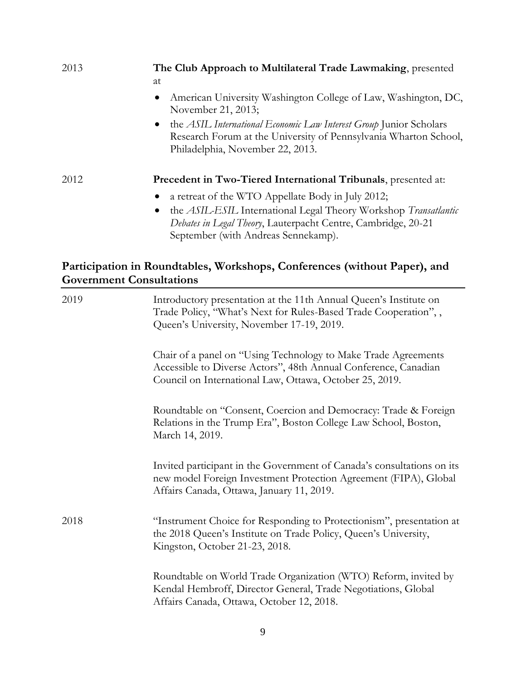| 2013 | The Club Approach to Multilateral Trade Lawmaking, presented<br>at                                                                                                                                                                        |
|------|-------------------------------------------------------------------------------------------------------------------------------------------------------------------------------------------------------------------------------------------|
|      | American University Washington College of Law, Washington, DC,<br>$\bullet$<br>November 21, 2013;                                                                                                                                         |
|      | the ASIL International Economic Law Interest Group Junior Scholars<br>$\bullet$<br>Research Forum at the University of Pennsylvania Wharton School,<br>Philadelphia, November 22, 2013.                                                   |
| 2012 | <b>Precedent in Two-Tiered International Tribunals, presented at:</b>                                                                                                                                                                     |
|      | a retreat of the WTO Appellate Body in July 2012;<br>the ASIL-ESIL International Legal Theory Workshop Transatlantic<br>$\bullet$<br>Debates in Legal Theory, Lauterpacht Centre, Cambridge, 20-21<br>September (with Andreas Sennekamp). |

### **Participation in Roundtables, Workshops, Conferences (without Paper), and Government Consultations**

| 2019 | Introductory presentation at the 11th Annual Queen's Institute on<br>Trade Policy, "What's Next for Rules-Based Trade Cooperation",,<br>Queen's University, November 17-19, 2019.            |
|------|----------------------------------------------------------------------------------------------------------------------------------------------------------------------------------------------|
|      | Chair of a panel on "Using Technology to Make Trade Agreements<br>Accessible to Diverse Actors", 48th Annual Conference, Canadian<br>Council on International Law, Ottawa, October 25, 2019. |
|      | Roundtable on "Consent, Coercion and Democracy: Trade & Foreign<br>Relations in the Trump Era", Boston College Law School, Boston,<br>March 14, 2019.                                        |
|      | Invited participant in the Government of Canada's consultations on its<br>new model Foreign Investment Protection Agreement (FIPA), Global<br>Affairs Canada, Ottawa, January 11, 2019.      |
| 2018 | "Instrument Choice for Responding to Protectionism", presentation at<br>the 2018 Queen's Institute on Trade Policy, Queen's University,<br>Kingston, October 21-23, 2018.                    |
|      | Roundtable on World Trade Organization (WTO) Reform, invited by<br>Kendal Hembroff, Director General, Trade Negotiations, Global<br>Affairs Canada, Ottawa, October 12, 2018.                |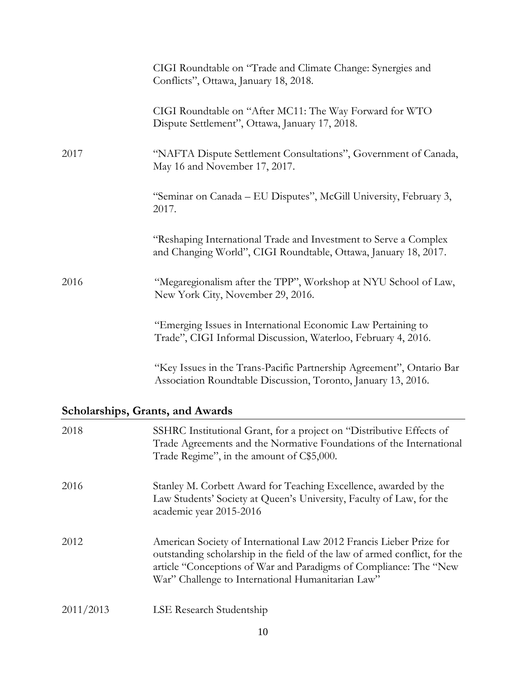|                                  | CIGI Roundtable on "Trade and Climate Change: Synergies and<br>Conflicts", Ottawa, January 18, 2018.                                                                                                                                                                        |
|----------------------------------|-----------------------------------------------------------------------------------------------------------------------------------------------------------------------------------------------------------------------------------------------------------------------------|
|                                  | CIGI Roundtable on "After MC11: The Way Forward for WTO<br>Dispute Settlement", Ottawa, January 17, 2018.                                                                                                                                                                   |
| 2017                             | "NAFTA Dispute Settlement Consultations", Government of Canada,<br>May 16 and November 17, 2017.                                                                                                                                                                            |
|                                  | "Seminar on Canada – EU Disputes", McGill University, February 3,<br>2017.                                                                                                                                                                                                  |
|                                  | "Reshaping International Trade and Investment to Serve a Complex<br>and Changing World", CIGI Roundtable, Ottawa, January 18, 2017.                                                                                                                                         |
| 2016                             | "Megaregionalism after the TPP", Workshop at NYU School of Law,<br>New York City, November 29, 2016.                                                                                                                                                                        |
|                                  | "Emerging Issues in International Economic Law Pertaining to<br>Trade", CIGI Informal Discussion, Waterloo, February 4, 2016.                                                                                                                                               |
|                                  | "Key Issues in the Trans-Pacific Partnership Agreement", Ontario Bar<br>Association Roundtable Discussion, Toronto, January 13, 2016.                                                                                                                                       |
| Scholarships, Grants, and Awards |                                                                                                                                                                                                                                                                             |
| 2018                             | SSHRC Institutional Grant, for a project on "Distributive Effects of<br>Trade Agreements and the Normative Foundations of the International<br>Trade Regime", in the amount of C\$5,000.                                                                                    |
| 2016                             | Stanley M. Corbett Award for Teaching Excellence, awarded by the<br>Law Students' Society at Queen's University, Faculty of Law, for the<br>academic year 2015-2016                                                                                                         |
| 2012                             | American Society of International Law 2012 Francis Lieber Prize for<br>outstanding scholarship in the field of the law of armed conflict, for the<br>article "Conceptions of War and Paradigms of Compliance: The "New<br>War" Challenge to International Humanitarian Law" |
| 2011/2013                        | LSE Research Studentship                                                                                                                                                                                                                                                    |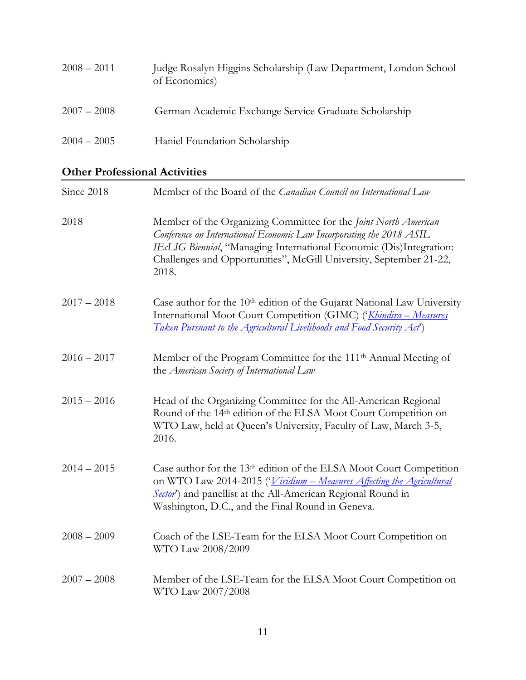| $2008 - 2011$ | Judge Rosalyn Higgins Scholarship (Law Department, London School<br>of Economics) |
|---------------|-----------------------------------------------------------------------------------|
| $2007 - 2008$ | German Academic Exchange Service Graduate Scholarship                             |
| $2004 - 2005$ | Haniel Foundation Scholarship                                                     |

### **Other Professional Activities**

| Since 2018    | Member of the Board of the Canadian Council on International Law                                                                                                                                                                                                                              |
|---------------|-----------------------------------------------------------------------------------------------------------------------------------------------------------------------------------------------------------------------------------------------------------------------------------------------|
| 2018          | Member of the Organizing Committee for the Joint North American<br>Conference on International Economic Law Incorporating the 2018 ASIL<br>IEcLIG Biennial, "Managing International Economic (Dis)Integration:<br>Challenges and Opportunities", McGill University, September 21-22,<br>2018. |
| $2017 - 2018$ | Case author for the 10 <sup>th</sup> edition of the Gujarat National Law University<br>International Moot Court Competition (GIMC) ('Khindira - Measures<br>Taken Pursuant to the Agricultural Livelihoods and Food Security Act')                                                            |
| $2016 - 2017$ | Member of the Program Committee for the 111 <sup>th</sup> Annual Meeting of<br>the American Society of International Law                                                                                                                                                                      |
| $2015 - 2016$ | Head of the Organizing Committee for the All-American Regional<br>Round of the 14th edition of the ELSA Moot Court Competition on<br>WTO Law, held at Queen's University, Faculty of Law, March 3-5,<br>2016.                                                                                 |
| $2014 - 2015$ | Case author for the 13 <sup>th</sup> edition of the ELSA Moot Court Competition<br>on WTO Law 2014-2015 (' <i>Viridium – Measures Affecting the Agricultural</i><br>Sector') and panellist at the All-American Regional Round in<br>Washington, D.C., and the Final Round in Geneva.          |
| $2008 - 2009$ | Coach of the LSE-Team for the ELSA Moot Court Competition on<br>WTO Law 2008/2009                                                                                                                                                                                                             |
| $2007 - 2008$ | Member of the LSE-Team for the ELSA Moot Court Competition on<br>WTO Law 2007/2008                                                                                                                                                                                                            |